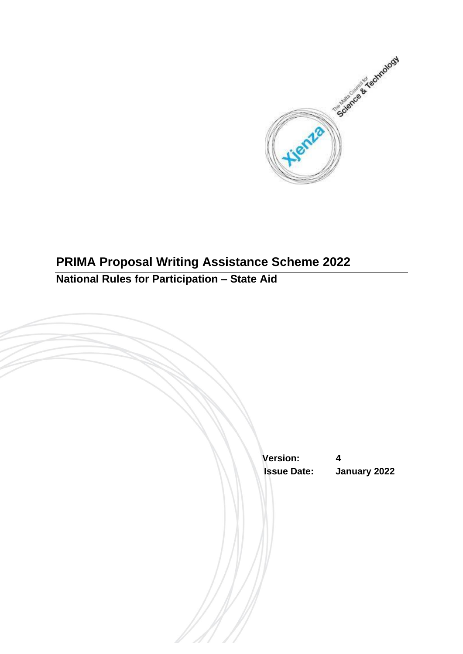

# **PRIMA Proposal Writing Assistance Scheme 2022 National Rules for Participation – State Aid**

 **Version: 4 Issue Date: January 2022**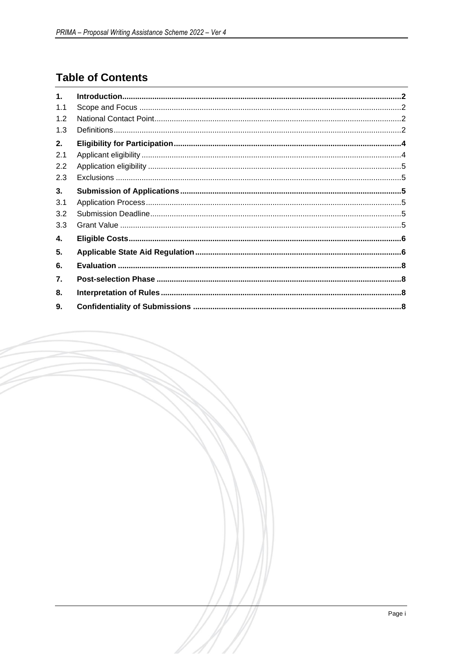## **Table of Contents**

| $\mathbf{1}$ . |  |
|----------------|--|
| 1.1            |  |
| 1.2            |  |
| 1.3            |  |
| 2.             |  |
| 2.1            |  |
| 2.2            |  |
| 2.3            |  |
| 3.             |  |
| 3.1            |  |
| 3.2            |  |
| 3.3            |  |
| 4.             |  |
| 5.             |  |
| 6.             |  |
| 7.             |  |
| 8.             |  |
| 9.             |  |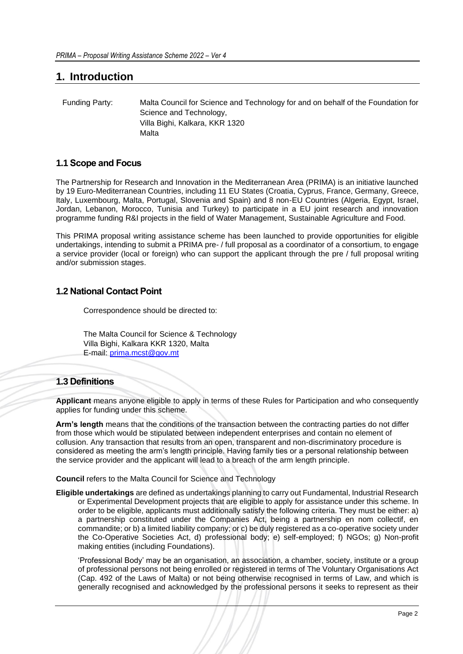### <span id="page-2-0"></span>**1. Introduction**

| Funding Party: | Malta Council for Science and Technology for and on behalf of the Foundation for |
|----------------|----------------------------------------------------------------------------------|
|                | Science and Technology,                                                          |
|                | Villa Bighi, Kalkara, KKR 1320                                                   |
|                | Malta                                                                            |

#### <span id="page-2-1"></span>**1.1 Scope and Focus**

The Partnership for Research and Innovation in the Mediterranean Area (PRIMA) is an initiative launched by 19 Euro-Mediterranean Countries, including 11 EU States (Croatia, Cyprus, France, Germany, Greece, Italy, Luxembourg, Malta, Portugal, Slovenia and Spain) and 8 non-EU Countries (Algeria, Egypt, Israel, Jordan, Lebanon, Morocco, Tunisia and Turkey) to participate in a EU joint research and innovation programme funding R&I projects in the field of Water Management, Sustainable Agriculture and Food.

This PRIMA proposal writing assistance scheme has been launched to provide opportunities for eligible undertakings, intending to submit a PRIMA pre- / full proposal as a coordinator of a consortium, to engage a service provider (local or foreign) who can support the applicant through the pre / full proposal writing and/or submission stages.

#### <span id="page-2-2"></span>**1.2 National Contact Point**

Correspondence should be directed to:

The Malta Council for Science & Technology Villa Bighi, Kalkara KKR 1320, Malta E-mail: [prima.mcst@gov.mt](mailto:prima.mcst@gov.mt)

### <span id="page-2-3"></span>**1.3 Definitions**

**Applicant** means anyone eligible to apply in terms of these Rules for Participation and who consequently applies for funding under this scheme.

**Arm's length** means that the conditions of the transaction between the contracting parties do not differ from those which would be stipulated between independent enterprises and contain no element of collusion. Any transaction that results from an open, transparent and non-discriminatory procedure is considered as meeting the arm's length principle. Having family ties or a personal relationship between the service provider and the applicant will lead to a breach of the arm length principle.

**Council** refers to the Malta Council for Science and Technology

**Eligible undertakings** are defined as undertakings planning to carry out Fundamental, Industrial Research or Experimental Development projects that are eligible to apply for assistance under this scheme. In order to be eligible, applicants must additionally satisfy the following criteria. They must be either: a) a partnership constituted under the Companies Act, being a partnership en nom collectif, en commandite; or b) a limited liability company; or c) be duly registered as a co-operative society under the Co-Operative Societies Act, d) professional body; e) self-employed; f) NGOs; g) Non-profit making entities (including Foundations).

'Professional Body' may be an organisation, an association, a chamber, society, institute or a group of professional persons not being enrolled or registered in terms of The Voluntary Organisations Act (Cap. 492 of the Laws of Malta) or not being otherwise recognised in terms of Law, and which is generally recognised and acknowledged by the professional persons it seeks to represent as their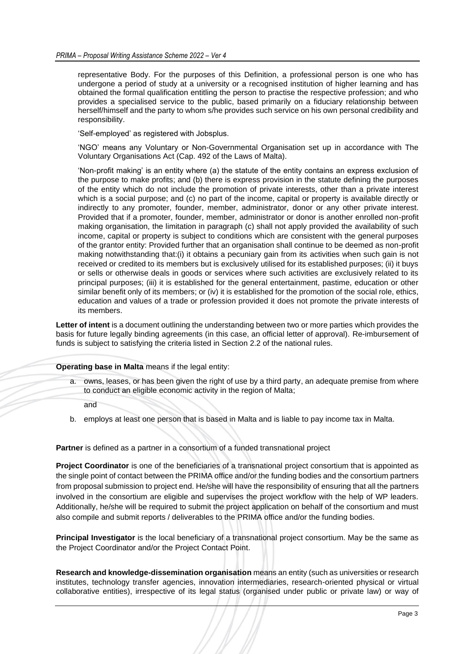representative Body. For the purposes of this Definition, a professional person is one who has undergone a period of study at a university or a recognised institution of higher learning and has obtained the formal qualification entitling the person to practise the respective profession; and who provides a specialised service to the public, based primarily on a fiduciary relationship between herself/himself and the party to whom s/he provides such service on his own personal credibility and responsibility.

'Self-employed' as registered with Jobsplus.

'NGO' means any Voluntary or Non-Governmental Organisation set up in accordance with The Voluntary Organisations Act (Cap. 492 of the Laws of Malta).

'Non-profit making' is an entity where (a) the statute of the entity contains an express exclusion of the purpose to make profits; and (b) there is express provision in the statute defining the purposes of the entity which do not include the promotion of private interests, other than a private interest which is a social purpose; and (c) no part of the income, capital or property is available directly or indirectly to any promoter, founder, member, administrator, donor or any other private interest. Provided that if a promoter, founder, member, administrator or donor is another enrolled non-profit making organisation, the limitation in paragraph (c) shall not apply provided the availability of such income, capital or property is subject to conditions which are consistent with the general purposes of the grantor entity: Provided further that an organisation shall continue to be deemed as non-profit making notwithstanding that:(i) it obtains a pecuniary gain from its activities when such gain is not received or credited to its members but is exclusively utilised for its established purposes; (ii) it buys or sells or otherwise deals in goods or services where such activities are exclusively related to its principal purposes; (iii) it is established for the general entertainment, pastime, education or other similar benefit only of its members; or (iv) it is established for the promotion of the social role, ethics, education and values of a trade or profession provided it does not promote the private interests of its members.

**Letter of intent** is a document outlining the understanding between two or more parties which provides the basis for future legally binding agreements (in this case, an official letter of approval). Re-imbursement of funds is subject to satisfying the criteria listed in Section 2.2 of the national rules.

**Operating base in Malta** means if the legal entity:

a. owns, leases, or has been given the right of use by a third party, an adequate premise from where to conduct an eligible economic activity in the region of Malta;

and

b. employs at least one person that is based in Malta and is liable to pay income tax in Malta.

**Partner** is defined as a partner in a consortium of a funded transnational project

**Project Coordinator** is one of the beneficiaries of a transnational project consortium that is appointed as the single point of contact between the PRIMA office and/or the funding bodies and the consortium partners from proposal submission to project end. He/she will have the responsibility of ensuring that all the partners involved in the consortium are eligible and supervises the project workflow with the help of WP leaders. Additionally, he/she will be required to submit the project application on behalf of the consortium and must also compile and submit reports / deliverables to the PRIMA office and/or the funding bodies.

**Principal Investigator** is the local beneficiary of a transnational project consortium. May be the same as the Project Coordinator and/or the Project Contact Point.

**Research and knowledge-dissemination organisation** means an entity (such as universities or research institutes, technology transfer agencies, innovation intermediaries, research-oriented physical or virtual collaborative entities), irrespective of its legal status (organised under public or private law) or way of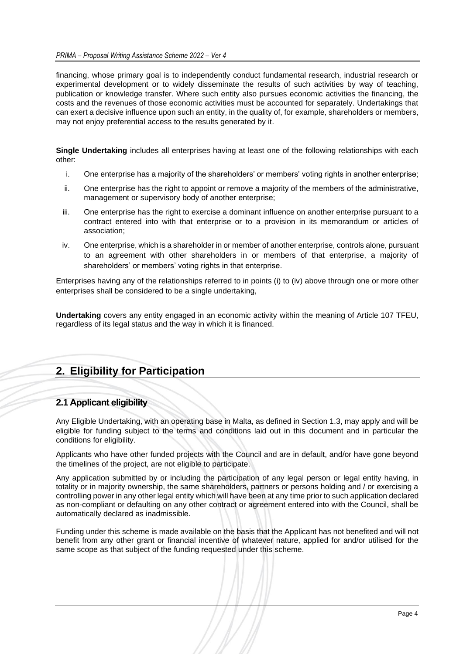financing, whose primary goal is to independently conduct fundamental research, industrial research or experimental development or to widely disseminate the results of such activities by way of teaching, publication or knowledge transfer. Where such entity also pursues economic activities the financing, the costs and the revenues of those economic activities must be accounted for separately. Undertakings that can exert a decisive influence upon such an entity, in the quality of, for example, shareholders or members, may not enjoy preferential access to the results generated by it.

**Single Undertaking** includes all enterprises having at least one of the following relationships with each other:

- i. One enterprise has a majority of the shareholders' or members' voting rights in another enterprise;
- ii. One enterprise has the right to appoint or remove a majority of the members of the administrative, management or supervisory body of another enterprise;
- iii. One enterprise has the right to exercise a dominant influence on another enterprise pursuant to a contract entered into with that enterprise or to a provision in its memorandum or articles of association;
- iv. One enterprise, which is a shareholder in or member of another enterprise, controls alone, pursuant to an agreement with other shareholders in or members of that enterprise, a majority of shareholders' or members' voting rights in that enterprise.

Enterprises having any of the relationships referred to in points (i) to (iv) above through one or more other enterprises shall be considered to be a single undertaking,

**Undertaking** covers any entity engaged in an economic activity within the meaning of Article 107 TFEU, regardless of its legal status and the way in which it is financed.

## <span id="page-4-0"></span>**2. Eligibility for Participation**

### <span id="page-4-1"></span>**2.1 Applicant eligibility**

Any Eligible Undertaking, with an operating base in Malta, as defined in Section 1.3, may apply and will be eligible for funding subject to the terms and conditions laid out in this document and in particular the conditions for eligibility.

Applicants who have other funded projects with the Council and are in default, and/or have gone beyond the timelines of the project, are not eligible to participate.

Any application submitted by or including the participation of any legal person or legal entity having, in totality or in majority ownership, the same shareholders, partners or persons holding and / or exercising a controlling power in any other legal entity which will have been at any time prior to such application declared as non-compliant or defaulting on any other contract or agreement entered into with the Council, shall be automatically declared as inadmissible.

Funding under this scheme is made available on the basis that the Applicant has not benefited and will not benefit from any other grant or financial incentive of whatever nature, applied for and/or utilised for the same scope as that subject of the funding requested under this scheme.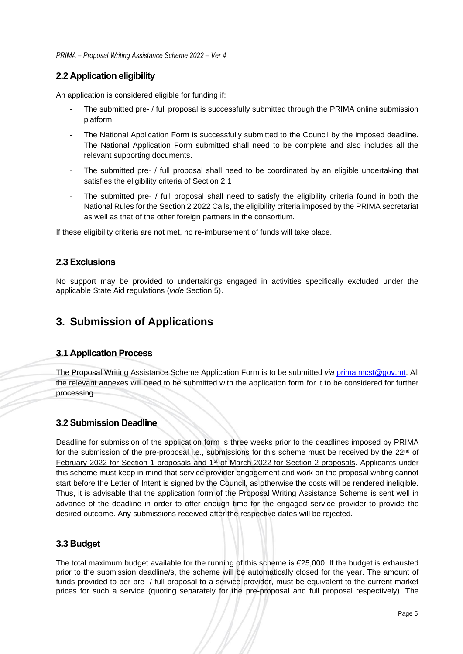#### <span id="page-5-0"></span>**2.2 Application eligibility**

An application is considered eligible for funding if:

- The submitted pre- / full proposal is successfully submitted through the PRIMA online submission platform
- The National Application Form is successfully submitted to the Council by the imposed deadline. The National Application Form submitted shall need to be complete and also includes all the relevant supporting documents.
- The submitted pre- / full proposal shall need to be coordinated by an eligible undertaking that satisfies the eligibility criteria of Section 2.1
- The submitted pre- / full proposal shall need to satisfy the eligibility criteria found in both the National Rules for the Section 2 2022 Calls, the eligibility criteria imposed by the PRIMA secretariat as well as that of the other foreign partners in the consortium.

If these eligibility criteria are not met, no re-imbursement of funds will take place.

#### <span id="page-5-1"></span>**2.3 Exclusions**

No support may be provided to undertakings engaged in activities specifically excluded under the applicable State Aid regulations (*vide* Section 5).

### <span id="page-5-2"></span>**3. Submission of Applications**

#### <span id="page-5-3"></span>**3.1 Application Process**

The Proposal Writing Assistance Scheme Application Form is to be submitted *via* [prima.mcst@gov.mt.](mailto:prima.mcst@gov.mt) All the relevant annexes will need to be submitted with the application form for it to be considered for further processing.

#### <span id="page-5-4"></span>**3.2 Submission Deadline**

Deadline for submission of the application form is three weeks prior to the deadlines imposed by PRIMA for the submission of the pre-proposal i.e., submissions for this scheme must be received by the 22<sup>nd</sup> of February 2022 for Section 1 proposals and 1<sup>st</sup> of March 2022 for Section 2 proposals. Applicants under this scheme must keep in mind that service provider engagement and work on the proposal writing cannot start before the Letter of Intent is signed by the Council, as otherwise the costs will be rendered ineligible. Thus, it is advisable that the application form of the Proposal Writing Assistance Scheme is sent well in advance of the deadline in order to offer enough time for the engaged service provider to provide the desired outcome. Any submissions received after the respective dates will be rejected.

#### <span id="page-5-5"></span>**3.3 Budget**

The total maximum budget available for the running of this scheme is €25,000. If the budget is exhausted prior to the submission deadline/s, the scheme will be automatically closed for the year. The amount of funds provided to per pre- / full proposal to a service provider, must be equivalent to the current market prices for such a service (quoting separately for the pre-proposal and full proposal respectively). The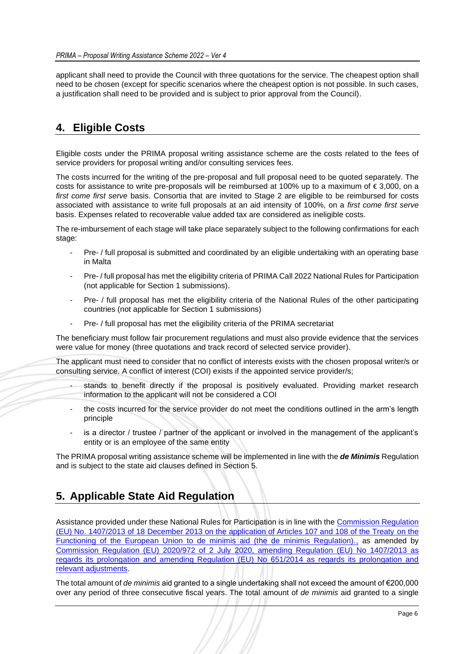applicant shall need to provide the Council with three quotations for the service. The cheapest option shall need to be chosen (except for specific scenarios where the cheapest option is not possible. In such cases, a justification shall need to be provided and is subject to prior approval from the Council).

## <span id="page-6-0"></span>**4. Eligible Costs**

Eligible costs under the PRIMA proposal writing assistance scheme are the costs related to the fees of service providers for proposal writing and/or consulting services fees.

The costs incurred for the writing of the pre-proposal and full proposal need to be quoted separately. The costs for assistance to write pre-proposals will be reimbursed at 100% up to a maximum of € 3,000, on a *first come first serve* basis. Consortia that are invited to Stage 2 are eligible to be reimbursed for costs associated with assistance to write full proposals at an aid intensity of 100%, on a *first come first serve* basis. Expenses related to recoverable value added tax are considered as ineligible costs.

The re-imbursement of each stage will take place separately subject to the following confirmations for each stage:

- Pre- / full proposal is submitted and coordinated by an eligible undertaking with an operating base in Malta
- Pre- / full proposal has met the eligibility criteria of PRIMA Call 2022 National Rules for Participation (not applicable for Section 1 submissions).
- Pre- / full proposal has met the eligibility criteria of the National Rules of the other participating countries (not applicable for Section 1 submissions)
- Pre- / full proposal has met the eligibility criteria of the PRIMA secretariat

The beneficiary must follow fair procurement regulations and must also provide evidence that the services were value for money (three quotations and track record of selected service provider).

The applicant must need to consider that no conflict of interests exists with the chosen proposal writer/s or consulting service. A conflict of interest (COI) exists if the appointed service provider/s;

- stands to benefit directly if the proposal is positively evaluated. Providing market research information to the applicant will not be considered a COI
- the costs incurred for the service provider do not meet the conditions outlined in the arm's length principle
- is a director / trustee / partner of the applicant or involved in the management of the applicant's entity or is an employee of the same entity

The PRIMA proposal writing assistance scheme will be implemented in line with the *de Minimis* Regulation and is subject to the state aid clauses defined in Section 5.

## <span id="page-6-1"></span>**5. Applicable State Aid Regulation**

Assistance provided under these National Rules for Participation is in line with the Commission Regulation [\(EU\) No. 1407/2013 of 18 December 2013 on the application of Articles 107 and 108 of the Treaty](http://ec.europa.eu/competition/state_aid/legislation/de_minimis_regulation_en.pdf) on the [Functioning of the European Union to de minimis aid \(the de minimis Regulation\).,](http://ec.europa.eu/competition/state_aid/legislation/de_minimis_regulation_en.pdf) as amended by [Commission Regulation \(EU\) 2020/972 of 2 July 2020, amending Regulation \(EU\) No 1407/2013 as](https://eur-lex.europa.eu/legal-content/EN/TXT/PDF/?uri=CELEX:32020R0972&from=EN)  regards its [prolongation and amending Regulation \(EU\) No 651/2014 as regards its prolongation and](https://eur-lex.europa.eu/legal-content/EN/TXT/PDF/?uri=CELEX:32020R0972&from=EN)  [relevant adjustments.](https://eur-lex.europa.eu/legal-content/EN/TXT/PDF/?uri=CELEX:32020R0972&from=EN)

The total amount of *de minimis* aid granted to a single undertaking shall not exceed the amount of €200,000 over any period of three consecutive fiscal years. The total amount of *de minimis* aid granted to a single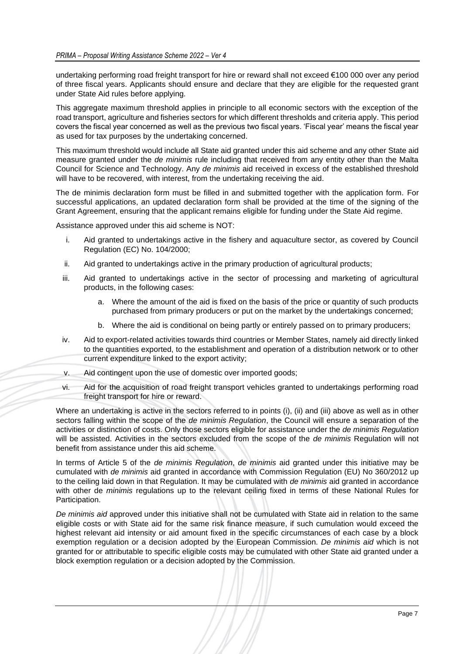undertaking performing road freight transport for hire or reward shall not exceed €100 000 over any period of three fiscal years. Applicants should ensure and declare that they are eligible for the requested grant under State Aid rules before applying.

This aggregate maximum threshold applies in principle to all economic sectors with the exception of the road transport, agriculture and fisheries sectors for which different thresholds and criteria apply. This period covers the fiscal year concerned as well as the previous two fiscal years. 'Fiscal year' means the fiscal year as used for tax purposes by the undertaking concerned.

This maximum threshold would include all State aid granted under this aid scheme and any other State aid measure granted under the *de minimis* rule including that received from any entity other than the Malta Council for Science and Technology. Any *de minimis* aid received in excess of the established threshold will have to be recovered, with interest, from the undertaking receiving the aid.

The de minimis declaration form must be filled in and submitted together with the application form. For successful applications, an updated declaration form shall be provided at the time of the signing of the Grant Agreement, ensuring that the applicant remains eligible for funding under the State Aid regime.

Assistance approved under this aid scheme is NOT:

- i. Aid granted to undertakings active in the fishery and aquaculture sector, as covered by Council Regulation (EC) No. 104/2000;
- ii. Aid granted to undertakings active in the primary production of agricultural products;
- iii. Aid granted to undertakings active in the sector of processing and marketing of agricultural products, in the following cases:
	- a. Where the amount of the aid is fixed on the basis of the price or quantity of such products purchased from primary producers or put on the market by the undertakings concerned;
	- b. Where the aid is conditional on being partly or entirely passed on to primary producers;
- iv. Aid to export-related activities towards third countries or Member States, namely aid directly linked to the quantities exported, to the establishment and operation of a distribution network or to other current expenditure linked to the export activity;
- v. Aid contingent upon the use of domestic over imported goods;
- vi. Aid for the acquisition of road freight transport vehicles granted to undertakings performing road freight transport for hire or reward.

Where an undertaking is active in the sectors referred to in points (i), (ii) and (iii) above as well as in other sectors falling within the scope of the *de minimis Regulation*, the Council will ensure a separation of the activities or distinction of costs. Only those sectors eligible for assistance under the *de minimis Regulation* will be assisted. Activities in the sectors excluded from the scope of the *de minimis* Regulation will not benefit from assistance under this aid scheme.

In terms of Article 5 of the *de minimis Regulation*, *de minimis* aid granted under this initiative may be cumulated with *de minimis* aid granted in accordance with Commission Regulation (EU) No 360/2012 up to the ceiling laid down in that Regulation. It may be cumulated with *de minimis* aid granted in accordance with other de *minimis* regulations up to the relevant ceiling fixed in terms of these National Rules for Participation.

*De minimis aid* approved under this initiative shall not be cumulated with State aid in relation to the same eligible costs or with State aid for the same risk finance measure, if such cumulation would exceed the highest relevant aid intensity or aid amount fixed in the specific circumstances of each case by a block exemption regulation or a decision adopted by the European Commission. *De minimis aid* which is not granted for or attributable to specific eligible costs may be cumulated with other State aid granted under a block exemption regulation or a decision adopted by the Commission.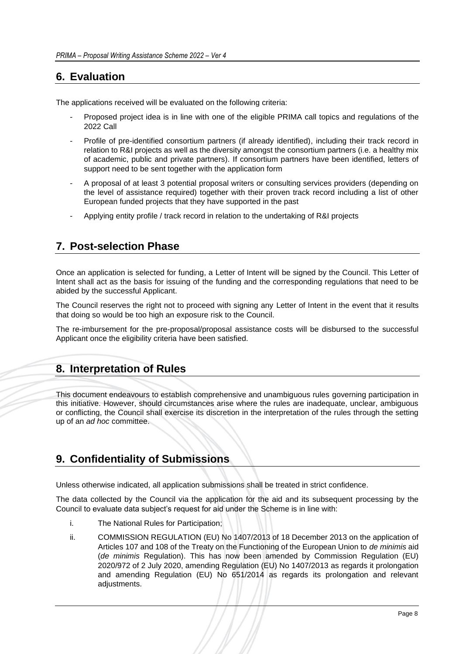## <span id="page-8-0"></span>**6. Evaluation**

The applications received will be evaluated on the following criteria:

- Proposed project idea is in line with one of the eligible PRIMA call topics and regulations of the 2022 Call
- Profile of pre-identified consortium partners (if already identified), including their track record in relation to R&I projects as well as the diversity amongst the consortium partners (i.e. a healthy mix of academic, public and private partners). If consortium partners have been identified, letters of support need to be sent together with the application form
- A proposal of at least 3 potential proposal writers or consulting services providers (depending on the level of assistance required) together with their proven track record including a list of other European funded projects that they have supported in the past
- Applying entity profile / track record in relation to the undertaking of R&I projects

## <span id="page-8-1"></span>**7. Post-selection Phase**

Once an application is selected for funding, a Letter of Intent will be signed by the Council. This Letter of Intent shall act as the basis for issuing of the funding and the corresponding regulations that need to be abided by the successful Applicant.

The Council reserves the right not to proceed with signing any Letter of Intent in the event that it results that doing so would be too high an exposure risk to the Council.

The re-imbursement for the pre-proposal/proposal assistance costs will be disbursed to the successful Applicant once the eligibility criteria have been satisfied.

## <span id="page-8-2"></span>**8. Interpretation of Rules**

This document endeavours to establish comprehensive and unambiguous rules governing participation in this initiative. However, should circumstances arise where the rules are inadequate, unclear, ambiguous or conflicting, the Council shall exercise its discretion in the interpretation of the rules through the setting up of an *ad hoc* committee.

## <span id="page-8-3"></span>**9. Confidentiality of Submissions**

Unless otherwise indicated, all application submissions shall be treated in strict confidence.

The data collected by the Council via the application for the aid and its subsequent processing by the Council to evaluate data subject's request for aid under the Scheme is in line with:

- i. The National Rules for Participation;
- ii. COMMISSION REGULATION (EU) No 1407/2013 of 18 December 2013 on the application of Articles 107 and 108 of the Treaty on the Functioning of the European Union to *de minimis* aid (*de minimis* Regulation). This has now been amended by Commission Regulation (EU) 2020/972 of 2 July 2020, amending Regulation (EU) No 1407/2013 as regards it prolongation and amending Regulation (EU) No 651/2014 as regards its prolongation and relevant adjustments.